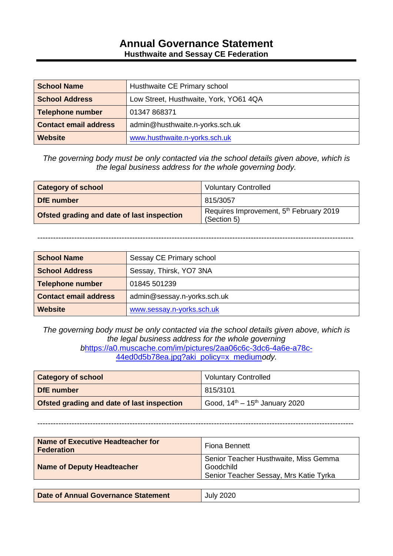### **Annual Governance Statement Husthwaite and Sessay CE Federation**

| <b>School Name</b>           | Husthwaite CE Primary school           |
|------------------------------|----------------------------------------|
| <b>School Address</b>        | Low Street, Husthwaite, York, YO61 4QA |
| Telephone number             | 01347 868371                           |
| <b>Contact email address</b> | admin@husthwaite.n-yorks.sch.uk        |
| <b>Website</b>               | www.husthwaite.n-yorks.sch.uk          |

*The governing body must be only contacted via the school details given above, which is the legal business address for the whole governing body.*

| <b>Category of school</b>                  | <b>Voluntary Controlled</b>                                        |
|--------------------------------------------|--------------------------------------------------------------------|
| DfE number                                 | 815/3057                                                           |
| Ofsted grading and date of last inspection | Requires Improvement, 5 <sup>th</sup> February 2019<br>(Section 5) |

------------------------------------------------------------------------------------------------------------------------

| <b>School Name</b>           | Sessay CE Primary school    |
|------------------------------|-----------------------------|
| <b>School Address</b>        | Sessay, Thirsk, YO7 3NA     |
| <b>Telephone number</b>      | 01845 501239                |
| <b>Contact email address</b> | admin@sessay.n-yorks.sch.uk |
| <b>Website</b>               | www.sessay.n-yorks.sch.uk   |

*The governing body must be only contacted via the school details given above, which is the legal business address for the whole governing b*[https://a0.muscache.com/im/pictures/2aa06c6c-3dc6-4a6e-a78c-](https://a0.muscache.com/im/pictures/2aa06c6c-3dc6-4a6e-a78c-44ed0d5b78ea.jpg?aki_policy=x_medium)[44ed0d5b78ea.jpg?aki\\_policy=x\\_medium](https://a0.muscache.com/im/pictures/2aa06c6c-3dc6-4a6e-a78c-44ed0d5b78ea.jpg?aki_policy=x_medium)*ody.*

| <b>Category of school</b>                  | <b>Voluntary Controlled</b>            |
|--------------------------------------------|----------------------------------------|
| DfE number                                 | 815/3101                               |
| Ofsted grading and date of last inspection | Good, $14^{th} - 15^{th}$ January 2020 |

#### ------------------------------------------------------------------------------------------------------------------------

| Name of Executive Headteacher for<br><b>Federation</b> | <b>Fiona Bennett</b>                                                                         |
|--------------------------------------------------------|----------------------------------------------------------------------------------------------|
| <b>Name of Deputy Headteacher</b>                      | Senior Teacher Husthwaite, Miss Gemma<br>Goodchild<br>Senior Teacher Sessay, Mrs Katie Tyrka |
|                                                        |                                                                                              |

| Date of Annual Governance Statement | <b>July 2020</b> |
|-------------------------------------|------------------|
|                                     |                  |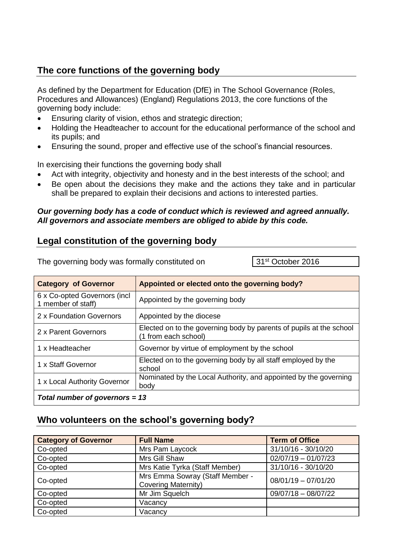## **The core functions of the governing body**

As defined by the Department for Education (DfE) in The School Governance (Roles, Procedures and Allowances) (England) Regulations 2013, the core functions of the governing body include:

- Ensuring clarity of vision, ethos and strategic direction;
- Holding the Headteacher to account for the educational performance of the school and its pupils; and
- Ensuring the sound, proper and effective use of the school's financial resources.

In exercising their functions the governing body shall

- Act with integrity, objectivity and honesty and in the best interests of the school; and
- Be open about the decisions they make and the actions they take and in particular shall be prepared to explain their decisions and actions to interested parties.

#### *Our governing body has a code of conduct which is reviewed and agreed annually. All governors and associate members are obliged to abide by this code.*

## **Legal constitution of the governing body**

The governing body was formally constituted on 31<sup>st</sup> October 2016

| <b>Category of Governor</b>                         | Appointed or elected onto the governing body?                                               |
|-----------------------------------------------------|---------------------------------------------------------------------------------------------|
| 6 x Co-opted Governors (incl.<br>1 member of staff) | Appointed by the governing body                                                             |
| 2 x Foundation Governors                            | Appointed by the diocese                                                                    |
| 2 x Parent Governors                                | Elected on to the governing body by parents of pupils at the school<br>(1 from each school) |
| 1 x Headteacher                                     | Governor by virtue of employment by the school                                              |
| 1 x Staff Governor                                  | Elected on to the governing body by all staff employed by the<br>school                     |
| 1 x Local Authority Governor                        | Nominated by the Local Authority, and appointed by the governing<br>body                    |
| Total number of governors = $13$                    |                                                                                             |

## **Who volunteers on the school's governing body?**

| <b>Category of Governor</b> | <b>Full Name</b>                                              | <b>Term of Office</b> |
|-----------------------------|---------------------------------------------------------------|-----------------------|
| Co-opted                    | Mrs Pam Laycock                                               | 31/10/16 - 30/10/20   |
| Co-opted                    | Mrs Gill Shaw                                                 | $02/07/19 - 01/07/23$ |
| Co-opted                    | Mrs Katie Tyrka (Staff Member)                                | 31/10/16 - 30/10/20   |
| Co-opted                    | Mrs Emma Sowray (Staff Member -<br><b>Covering Maternity)</b> | $08/01/19 - 07/01/20$ |
| Co-opted                    | Mr Jim Squelch                                                | $09/07/18 - 08/07/22$ |
| Co-opted                    | Vacancy                                                       |                       |
| Co-opted                    | Vacancy                                                       |                       |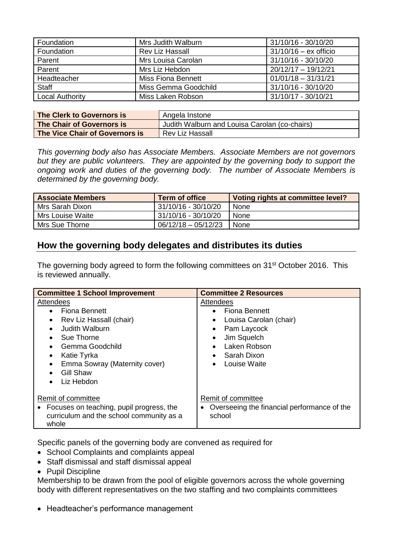| Foundation             | Mrs Judith Walburn   | 31/10/16 - 30/10/20     |
|------------------------|----------------------|-------------------------|
| Foundation             | Rev Liz Hassall      | $31/10/16 - ex$ officio |
| Parent                 | Mrs Louisa Carolan   | 31/10/16 - 30/10/20     |
| Parent                 | Mrs Liz Hebdon       | $20/12/17 - 19/12/21$   |
| Headteacher            | Miss Fiona Bennett   | $01/01/18 - 31/31/21$   |
| <b>Staff</b>           | Miss Gemma Goodchild | 31/10/16 - 30/10/20     |
| <b>Local Authority</b> | Miss Laken Robson    | 31/10/17 - 30/10/21     |

| The Clerk to Governors is      | Angela Instone                                |
|--------------------------------|-----------------------------------------------|
| The Chair of Governors is      | Judith Walburn and Louisa Carolan (co-chairs) |
| The Vice Chair of Governors is | <b>Rev Liz Hassall</b>                        |

*This governing body also has Associate Members. Associate Members are not governors but they are public volunteers. They are appointed by the governing body to support the ongoing work and duties of the governing body. The number of Associate Members is determined by the governing body.*

| <b>Associate Members</b> | <b>Term of office</b> | Voting rights at committee level? |
|--------------------------|-----------------------|-----------------------------------|
| Mrs Sarah Dixon          | 31/10/16 - 30/10/20   | None                              |
| Mrs Louise Waite         | 31/10/16 - 30/10/20   | None                              |
| Mrs Sue Thorne           | 06/12/18 - 05/12/23   | None                              |

## **How the governing body delegates and distributes its duties**

The governing body agreed to form the following committees on 31<sup>st</sup> October 2016. This is reviewed annually.

| <b>Committee 1 School Improvement</b>                                                                                                                                                                                                                          | <b>Committee 2 Resources</b>                                                                                                                                       |
|----------------------------------------------------------------------------------------------------------------------------------------------------------------------------------------------------------------------------------------------------------------|--------------------------------------------------------------------------------------------------------------------------------------------------------------------|
| Attendees<br>Fiona Bennett<br>$\bullet$<br>Rev Liz Hassall (chair)<br>$\bullet$<br>Judith Walburn<br>$\bullet$<br>Sue Thorne<br>٠<br>Gemma Goodchild<br>$\bullet$<br>Katie Tyrka<br>٠<br>Emma Sowray (Maternity cover)<br>Gill Shaw<br>Liz Hebdon<br>$\bullet$ | Attendees<br><b>Fiona Bennett</b><br>Louisa Carolan (chair)<br>Pam Laycock<br>$\bullet$<br>Jim Squelch<br>Laken Robson<br>Sarah Dixon<br>$\bullet$<br>Louise Waite |
| Remit of committee<br>Focuses on teaching, pupil progress, the<br>curriculum and the school community as a<br>whole                                                                                                                                            | Remit of committee<br>Overseeing the financial performance of the<br>$\bullet$<br>school                                                                           |

Specific panels of the governing body are convened as required for

- School Complaints and complaints appeal
- Staff dismissal and staff dismissal appeal
- Pupil Discipline

Membership to be drawn from the pool of eligible governors across the whole governing body with different representatives on the two staffing and two complaints committees

• Headteacher's performance management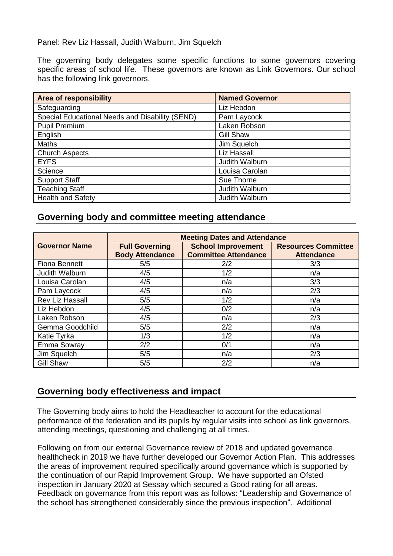Panel: Rev Liz Hassall, Judith Walburn, Jim Squelch

The governing body delegates some specific functions to some governors covering specific areas of school life. These governors are known as Link Governors. Our school has the following link governors.

| <b>Area of responsibility</b>                   | <b>Named Governor</b> |
|-------------------------------------------------|-----------------------|
| Safeguarding                                    | Liz Hebdon            |
| Special Educational Needs and Disability (SEND) | Pam Laycock           |
| <b>Pupil Premium</b>                            | Laken Robson          |
| English                                         | <b>Gill Shaw</b>      |
| <b>Maths</b>                                    | Jim Squelch           |
| <b>Church Aspects</b>                           | Liz Hassall           |
| <b>EYFS</b>                                     | Judith Walburn        |
| Science                                         | Louisa Carolan        |
| <b>Support Staff</b>                            | Sue Thorne            |
| <b>Teaching Staff</b>                           | Judith Walburn        |
| <b>Health and Safety</b>                        | Judith Walburn        |

#### **Governing body and committee meeting attendance**

|                        | <b>Meeting Dates and Attendance</b>             |                                                          |                                                 |
|------------------------|-------------------------------------------------|----------------------------------------------------------|-------------------------------------------------|
| <b>Governor Name</b>   | <b>Full Governing</b><br><b>Body Attendance</b> | <b>School Improvement</b><br><b>Committee Attendance</b> | <b>Resources Committee</b><br><b>Attendance</b> |
| <b>Fiona Bennett</b>   | 5/5                                             | 2/2                                                      | 3/3                                             |
| Judith Walburn         | 4/5                                             | 1/2                                                      | n/a                                             |
| Louisa Carolan         | 4/5                                             | n/a                                                      | 3/3                                             |
| Pam Laycock            | 4/5                                             | n/a                                                      | 2/3                                             |
| <b>Rev Liz Hassall</b> | 5/5                                             | 1/2                                                      | n/a                                             |
| Liz Hebdon             | 4/5                                             | 0/2                                                      | n/a                                             |
| Laken Robson           | 4/5                                             | n/a                                                      | 2/3                                             |
| Gemma Goodchild        | 5/5                                             | 2/2                                                      | n/a                                             |
| Katie Tyrka            | 1/3                                             | 1/2                                                      | n/a                                             |
| Emma Sowray            | 2/2                                             | 0/1                                                      | n/a                                             |
| Jim Squelch            | 5/5                                             | n/a                                                      | 2/3                                             |
| <b>Gill Shaw</b>       | 5/5                                             | 2/2                                                      | n/a                                             |

## **Governing body effectiveness and impact**

The Governing body aims to hold the Headteacher to account for the educational performance of the federation and its pupils by regular visits into school as link governors, attending meetings, questioning and challenging at all times.

Following on from our external Governance review of 2018 and updated governance healthcheck in 2019 we have further developed our Governor Action Plan. This addresses the areas of improvement required specifically around governance which is supported by the continuation of our Rapid Improvement Group. We have supported an Ofsted inspection in January 2020 at Sessay which secured a Good rating for all areas. Feedback on governance from this report was as follows: "Leadership and Governance of the school has strengthened considerably since the previous inspection". Additional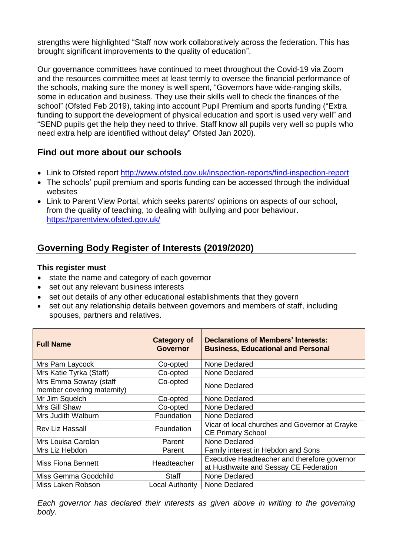strengths were highlighted "Staff now work collaboratively across the federation. This has brought significant improvements to the quality of education".

Our governance committees have continued to meet throughout the Covid-19 via Zoom and the resources committee meet at least termly to oversee the financial performance of the schools, making sure the money is well spent, "Governors have wide-ranging skills, some in education and business. They use their skills well to check the finances of the school" (Ofsted Feb 2019), taking into account Pupil Premium and sports funding ("Extra funding to support the development of physical education and sport is used very well" and "SEND pupils get the help they need to thrive. Staff know all pupils very well so pupils who need extra help are identified without delay" Ofsted Jan 2020).

## **Find out more about our schools**

- Link to Ofsted report <http://www.ofsted.gov.uk/inspection-reports/find-inspection-report>
- The schools' pupil premium and sports funding can be accessed through the individual websites
- Link to Parent View Portal, which seeks parents' opinions on aspects of our school, from the quality of teaching, to dealing with bullying and poor behaviour. <https://parentview.ofsted.gov.uk/>

# **Governing Body Register of Interests (2019/2020)**

#### **This register must**

- state the name and category of each governor
- set out any relevant business interests
- set out details of any other educational establishments that they govern
- set out any relationship details between governors and members of staff, including spouses, partners and relatives.

| <b>Full Name</b>                                     | <b>Category of</b><br><b>Governor</b> | Declarations of Members' Interests:<br><b>Business, Educational and Personal</b>       |
|------------------------------------------------------|---------------------------------------|----------------------------------------------------------------------------------------|
| Mrs Pam Laycock                                      | Co-opted                              | None Declared                                                                          |
| Mrs Katie Tyrka (Staff)                              | Co-opted                              | None Declared                                                                          |
| Mrs Emma Sowray (staff<br>member covering maternity) | Co-opted                              | None Declared                                                                          |
| Mr Jim Squelch                                       | Co-opted                              | None Declared                                                                          |
| Mrs Gill Shaw                                        | Co-opted                              | None Declared                                                                          |
| Mrs Judith Walburn                                   | Foundation                            | None Declared                                                                          |
| Rev Liz Hassall                                      | Foundation                            | Vicar of local churches and Governor at Crayke<br><b>CE Primary School</b>             |
| Mrs Louisa Carolan                                   | Parent                                | None Declared                                                                          |
| Mrs Liz Hebdon                                       | Parent                                | Family interest in Hebdon and Sons                                                     |
| Miss Fiona Bennett                                   | Headteacher                           | Executive Headteacher and therefore governor<br>at Husthwaite and Sessay CE Federation |
| Miss Gemma Goodchild                                 | <b>Staff</b>                          | <b>None Declared</b>                                                                   |
| Miss Laken Robson                                    | Local Authority                       | None Declared                                                                          |

*Each governor has declared their interests as given above in writing to the governing body.*